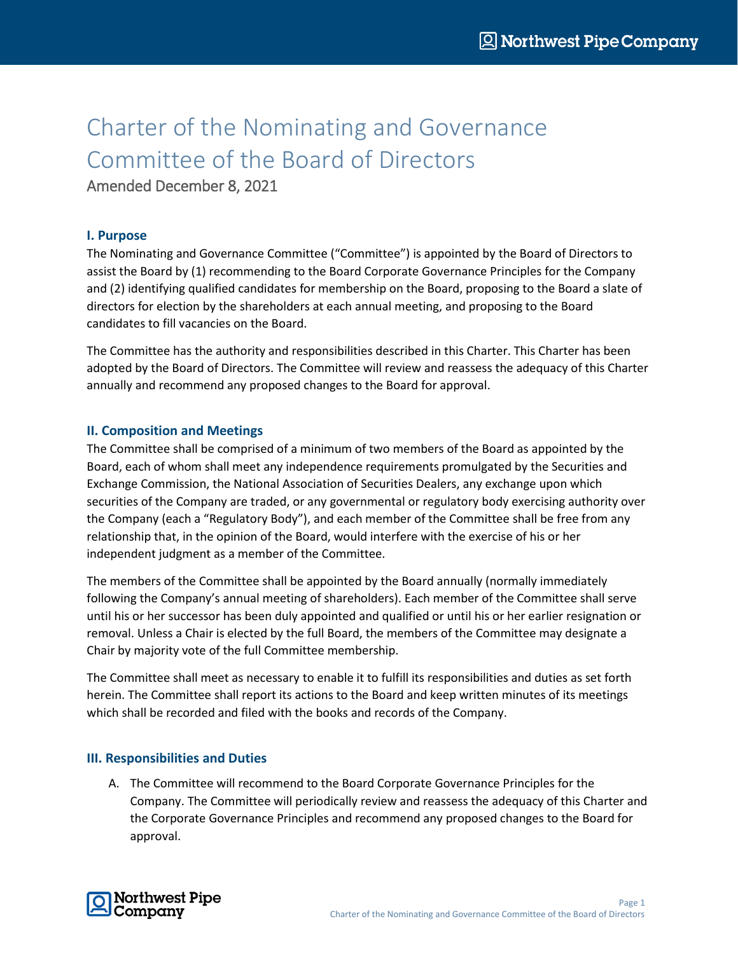## Charter of the Nominating and Governance Committee of the Board of Directors

Amended December 8, 2021

## **I. Purpose**

The Nominating and Governance Committee ("Committee") is appointed by the Board of Directors to assist the Board by (1) recommending to the Board Corporate Governance Principles for the Company and (2) identifying qualified candidates for membership on the Board, proposing to the Board a slate of directors for election by the shareholders at each annual meeting, and proposing to the Board candidates to fill vacancies on the Board.

The Committee has the authority and responsibilities described in this Charter. This Charter has been adopted by the Board of Directors. The Committee will review and reassess the adequacy of this Charter annually and recommend any proposed changes to the Board for approval.

## **II. Composition and Meetings**

The Committee shall be comprised of a minimum of two members of the Board as appointed by the Board, each of whom shall meet any independence requirements promulgated by the Securities and Exchange Commission, the National Association of Securities Dealers, any exchange upon which securities of the Company are traded, or any governmental or regulatory body exercising authority over the Company (each a "Regulatory Body"), and each member of the Committee shall be free from any relationship that, in the opinion of the Board, would interfere with the exercise of his or her independent judgment as a member of the Committee.

The members of the Committee shall be appointed by the Board annually (normally immediately following the Company's annual meeting of shareholders). Each member of the Committee shall serve until his or her successor has been duly appointed and qualified or until his or her earlier resignation or removal. Unless a Chair is elected by the full Board, the members of the Committee may designate a Chair by majority vote of the full Committee membership.

The Committee shall meet as necessary to enable it to fulfill its responsibilities and duties as set forth herein. The Committee shall report its actions to the Board and keep written minutes of its meetings which shall be recorded and filed with the books and records of the Company.

## **III. Responsibilities and Duties**

A. The Committee will recommend to the Board Corporate Governance Principles for the Company. The Committee will periodically review and reassess the adequacy of this Charter and the Corporate Governance Principles and recommend any proposed changes to the Board for approval.

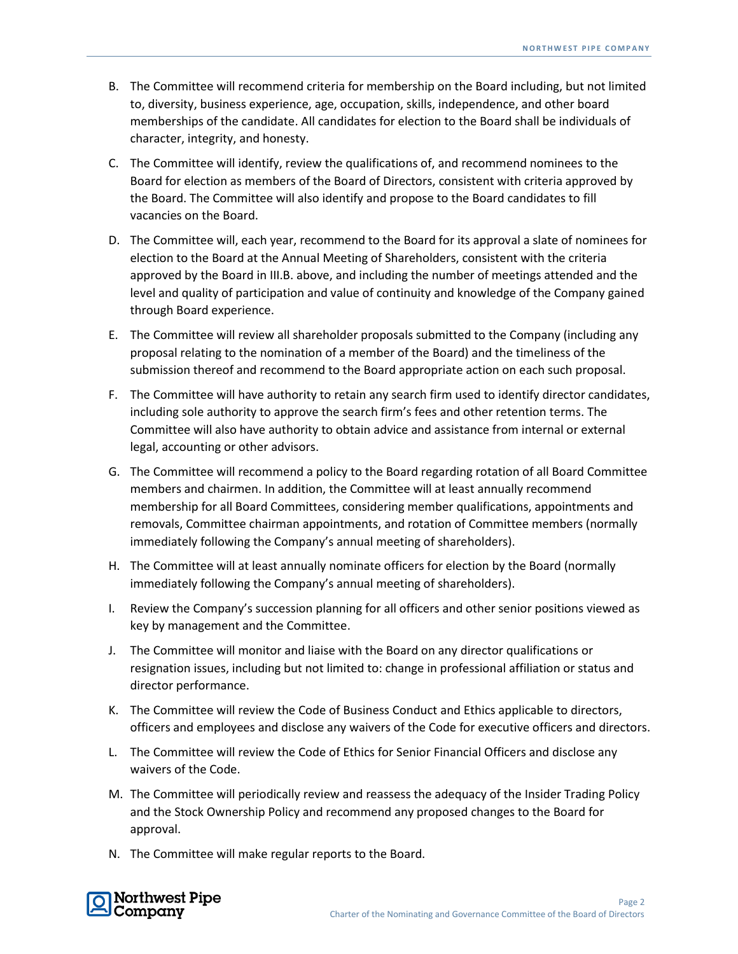- B. The Committee will recommend criteria for membership on the Board including, but not limited to, diversity, business experience, age, occupation, skills, independence, and other board memberships of the candidate. All candidates for election to the Board shall be individuals of character, integrity, and honesty.
- C. The Committee will identify, review the qualifications of, and recommend nominees to the Board for election as members of the Board of Directors, consistent with criteria approved by the Board. The Committee will also identify and propose to the Board candidates to fill vacancies on the Board.
- D. The Committee will, each year, recommend to the Board for its approval a slate of nominees for election to the Board at the Annual Meeting of Shareholders, consistent with the criteria approved by the Board in III.B. above, and including the number of meetings attended and the level and quality of participation and value of continuity and knowledge of the Company gained through Board experience.
- E. The Committee will review all shareholder proposals submitted to the Company (including any proposal relating to the nomination of a member of the Board) and the timeliness of the submission thereof and recommend to the Board appropriate action on each such proposal.
- F. The Committee will have authority to retain any search firm used to identify director candidates, including sole authority to approve the search firm's fees and other retention terms. The Committee will also have authority to obtain advice and assistance from internal or external legal, accounting or other advisors.
- G. The Committee will recommend a policy to the Board regarding rotation of all Board Committee members and chairmen. In addition, the Committee will at least annually recommend membership for all Board Committees, considering member qualifications, appointments and removals, Committee chairman appointments, and rotation of Committee members (normally immediately following the Company's annual meeting of shareholders).
- H. The Committee will at least annually nominate officers for election by the Board (normally immediately following the Company's annual meeting of shareholders).
- I. Review the Company's succession planning for all officers and other senior positions viewed as key by management and the Committee.
- J. The Committee will monitor and liaise with the Board on any director qualifications or resignation issues, including but not limited to: change in professional affiliation or status and director performance.
- K. The Committee will review the Code of Business Conduct and Ethics applicable to directors, officers and employees and disclose any waivers of the Code for executive officers and directors.
- L. The Committee will review the Code of Ethics for Senior Financial Officers and disclose any waivers of the Code.
- M. The Committee will periodically review and reassess the adequacy of the Insider Trading Policy and the Stock Ownership Policy and recommend any proposed changes to the Board for approval.
- N. The Committee will make regular reports to the Board.